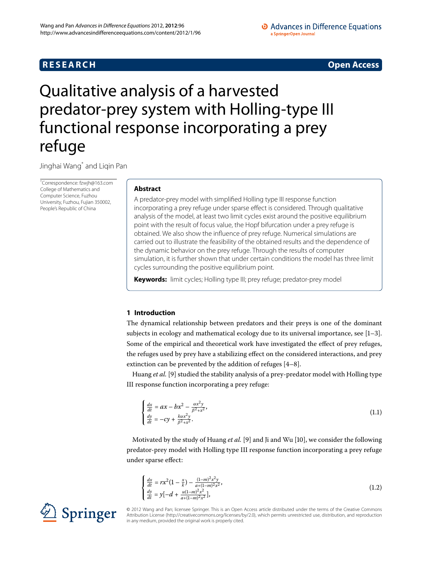# **R E S E A R C H Open Access**

### • Advances in Difference Equations a SpringerOpen Journal

# <span id="page-0-0"></span>Qualitative analysis of a harvested predator-prey system with Holling-type III functional response incorporating a prey refuge

Jinghai Wang[\\*](#page-0-0) and Liqin Pan

\* Correspondence: [fzwjh@163.com](mailto:fzwjh@163.com) College of Mathematics and Computer Science, Fuzhou University, Fuzhou, Fujian 350002, People's Republic of China

## **Abstract**

A predator-prey model with simplified Holling type III response function incorporating a prey refuge under sparse effect is considered. Through qualitative analysis of the model, at least two limit cycles exist around the positive equilibrium point with the result of focus value, the Hopf bifurcation under a prey refuge is obtained. We also show the influence of prey refuge. Numerical simulations are carried out to illustrate the feasibility of the obtained results and the dependence of the dynamic behavior on the prey refuge. Through the results of computer simulation, it is further shown that under certain conditions the model has three limit cycles surrounding the positive equilibrium point.

**Keywords:** limit cycles; Holling type III; prey refuge; predator-prey model

## **1 Introduction**

The dynamical relationship between predators and their preys is one of the dominant subjects in ecology and mathematical ecology due to its universal importance, see  $[1-3]$  $[1-3]$ . Some of the empirical and theoretical work have investigated the effect of prey refuges, the refuges used by prey have a stabilizing effect on the considered interactions, and prey extinction can be prevented by the addition of refuges  $[4-8]$  $[4-8]$ .

Huang *et al.* [\[](#page-12-4)9] studied the stability analysis of a prey-predator model with Holling type III response function incorporating a prey refuge:

<span id="page-0-1"></span>
$$
\begin{cases}\n\frac{dx}{dt} = ax - bx^2 - \frac{\alpha x^2 y}{\beta^2 + x^2},\\
\frac{dy}{dt} = -cy + \frac{k\alpha x^2 y}{\beta^2 + x^2}.\n\end{cases}
$$
\n(1.1)

Motivated by the study of Huang *et al.* [9[\]](#page-12-4) and Ji and Wu [\[](#page-12-5)10], we consider the following predator-prey model with Holling type III response function incorporating a prey refuge under sparse effect:

$$
\begin{cases} \frac{dx}{dt} = rx^2(1 - \frac{x}{k}) - \frac{(1-m)^2x^2y}{a+(1-m)^2x^2}, \\ \frac{dy}{dt} = y[-d + \frac{u(1-m)^2x^2}{a+(1-m)^2x^2}], \end{cases}
$$
(1.2)



© 2012 Wang and Pan; licensee Springer. This is an Open Access article distributed under the terms of the Creative Commons Attribution License [\(http://creativecommons.org/licenses/by/2.0](http://creativecommons.org/licenses/by/2.0)), which permits unrestricted use, distribution, and reproduction in any medium, provided the original work is properly cited.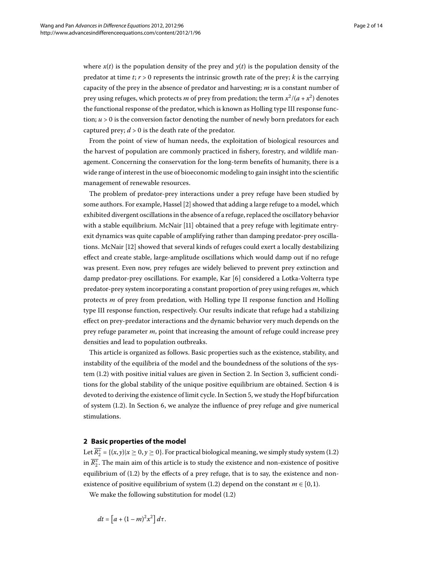where  $x(t)$  is the population density of the prey and  $y(t)$  is the population density of the predator at time  $t$ ;  $r > 0$  represents the intrinsic growth rate of the prey;  $k$  is the carrying capacity of the prey in the absence of predator and harvesting; *m* is a constant number of prey using refuges, which protects *m* of prey from predation; the term  $x^2/(a + x^2)$  denotes the functional response of the predator, which is known as Holling type III response function;  $u > 0$  is the conversion factor denoting the number of newly born predators for each captured prey;  $d > 0$  is the death rate of the predator.

From the point of view of human needs, the exploitation of biological resources and the harvest of population are commonly practiced in fishery, forestry, and wildlife management. Concerning the conservation for the long-term benefits of humanity, there is a wide range of interest in the use of bioeconomic modeling to gain insight into the scientific management of renewable resources.

The problem of predator-prey interactions under a prey refuge have been studied by some authors. For example, Hassel [\[](#page-12-6)2] showed that adding a large refuge to a model, which exhibited divergent oscillations in the absence of a refuge, replaced the oscillatory behavior with a stable equilibrium. McNair [11[\]](#page-13-0) obtained that a prey refuge with legitimate entryexit dynamics was quite capable of amplifying rather than damping predator-prey oscilla-tions. McNair [12[\]](#page-13-1) showed that several kinds of refuges could exert a locally destabilizing effect and create stable, large-amplitude oscillations which would damp out if no refuge was present. Even now, prey refuges are widely believed to prevent prey extinction and damp predator-prey oscillations. For example, Kar [6] considered a Lotka-Volterra type predator-prey system incorporating a constant proportion of prey using refuges *m*, which protects *m* of prey from predation, with Holling type II response function and Holling type III response function, respectively. Our results indicate that refuge had a stabilizing effect on prey-predator interactions and the dynamic behavior very much depends on the prey refuge parameter *m*, point that increasing the amount of refuge could increase prey densities and lead to population outbreaks.

<span id="page-1-0"></span>This article is organized as follows. Basic properties such as the existence, stability, and instability of the equilibria of the model and the boundedness of the solutions of the sys-tem (1[.](#page-1-0)2) with positive initial values are given in Section 2. In Section 3, sufficient conditions for the global stability of the unique positive equilibrium are obtained. Section 4 is devoted to deriving the existence of limit cycle. In Section 5, we study the Hopf bifurcation of system  $(1.2)$ . In Section 6[,](#page-9-0) we analyze the influence of prey refuge and give numerical stimulations.

### **2 Basic properties of the model**

Let  $\overline{R_2^+}$  = { $(x, y)$ | $x \ge 0, y \ge 0$ }[.](#page-0-1) For practical biological meaning, we simply study system (1.2) in  $\overline{R_2^*}.$  The main aim of this article is to study the existence and non-existence of positive equilibrium of  $(1.2)$  by the effects of a prey refuge, that is to say, the existence and non-existence of positive equilibrium of system (1[.](#page-0-1)2) depend on the constant  $m \in [0, 1)$ .

We make the following substitution for model  $(1.2)$ 

$$
dt = \left[a + (1-m)^2 x^2\right] d\tau.
$$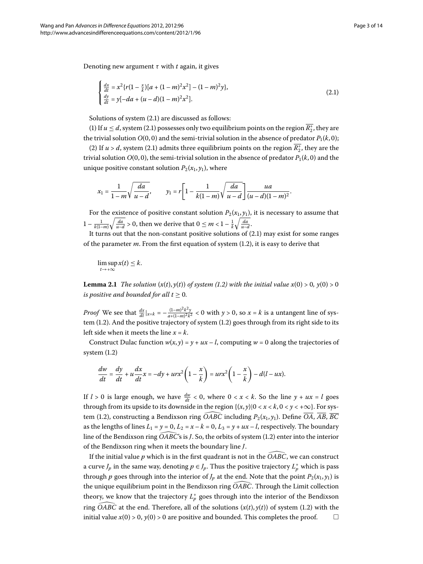Denoting new argument *τ* with *t* again, it gives

<span id="page-2-0"></span>
$$
\begin{cases} \frac{dx}{dt} = x^2 \{ r(1 - \frac{x}{k}) [a + (1 - m)^2 x^2] - (1 - m)^2 y \}, \\ \frac{dy}{dt} = y[-da + (u - d)(1 - m)^2 x^2]. \end{cases}
$$
(2.1)

Solutions of system  $(2.1)$  $(2.1)$  $(2.1)$  are discussed as follows:

(1) If  $u \le d$ , system (2.1) possesses only two equilibrium points on the region  $\overline{R_2^+}$ , they are the trivial solution  $O(0, 0)$  and the semi-trivial solution in the absence of predator  $P_1(k, 0)$ ;

(2) If *u* > *d*, system (2.1) admits three equilibrium points on the region  $\overline{R_2^+}$ , they are the trivial solution  $O(0, 0)$ , the semi-trivial solution in the absence of predator  $P_1(k, 0)$  and the unique positive constant solution  $P_2(x_1, y_1)$ , where

$$
x_1 = \frac{1}{1-m}\sqrt{\frac{da}{u-d}}, \qquad y_1 = r\left[1-\frac{1}{k(1-m)}\sqrt{\frac{da}{u-d}}\right]\frac{ua}{(u-d)(1-m)^2}.
$$

<span id="page-2-1"></span>For the existence of positive constant solution  $P_2(x_1, y_1)$ , it is necessary to assume that  $1 - \frac{1}{k(1-m)} \sqrt{\frac{da}{u-d}} > 0$ , then we derive that  $0 \le m < 1 - \frac{1}{k} \sqrt{\frac{da}{u-d}}$ .

It turns out that the non-constant positive solutions of  $(2.1)$  may exist for some ranges of the parameter  $m$ . From the first equation of system  $(1.2)$ , it is easy to derive that

 $\limsup x(t) \leq k.$  $t\rightarrow+\infty$ 

**Lemma 2[.](#page-0-1)1** *The solution*  $(x(t), y(t))$  *of system* (1.2) *with the initial value*  $x(0) > 0$ ,  $y(0) > 0$ *is positive and bounded for all*  $t \geq 0$ *.* 

*Proof* We see that  $\frac{dx}{dt}|_{x=k} = -\frac{(1-m)^2k^2y}{a+(1-m)^2k^2} < 0$  with  $y > 0$ , so  $x = k$  is a untangent line of sys-tem (1[.](#page-0-1)2). And the positive trajectory of system (1.2) goes through from its right side to its left side when it meets the line *x* = *k*.

Construct Dulac function  $w(x, y) = y + \mu x - l$ , computing  $w = 0$  along the trajectories of system  $(1.2)$ 

$$
\frac{dw}{dt} = \frac{dy}{dt} + u\frac{dx}{dt}x = -dy + urx^2\left(1 - \frac{x}{k}\right) = urx^2\left(1 - \frac{x}{k}\right) - d(l - ux).
$$

If  $l > 0$  is large enough, we have  $\frac{dw}{dt} < 0$ , where  $0 < x < k$ . So the line  $y + ux = l$  goes through from its upside to its downside in the region  $\{(x, y) | 0 < x < k, 0 < y < +\infty\}$ . For sys-If  $l > 0$  is large enough, we have  $\frac{dW}{dt} < 0$ , where through from its upside to its downside in the region ring  $\widehat{OABC}$ tem (1.2), constructing a Bendixson ring  $\overline{OABC}$  including  $P_2(x_1, y_1)$ . Define  $\overline{OA}$ ,  $\overline{AB}$ ,  $\overline{BC}$ as the lengths of lines  $L_1 = y = 0$ ,  $L_2 = x - k = 0$ ,  $L_3 = y + ux - l$ , respectively. The boundary tem (1.2), constructing a Bendixson ring *OABC* including  $P_2(x_1, y_1)$ . Define *OA*, *AB*, *BC*<br>as the lengths of lines  $L_1 = y = 0$ ,  $L_2 = x - k = 0$ ,  $L_3 = y + ux - l$ , respectively. The boundary<br>line of the Bendixson ring *OABC's* of the Bendixson ring when it meets the boundary line *J*. ne of the Bendixson ring OABC's is J. So, the orbits of system (1.2) enter into the interior<br>The Bendixson ring when it meets the boundary line J.<br>If the initial value  $p$  which is in the first quadrant is not in the OABC,

a curve  $J_p$  in the same way, denoting  $p \in J_p$ . Thus the positive trajectory  $L_p^+$  which is pass through  $p$  goes through into the interior of  $J_p$  at the end. Note that the point  $P_2(x_1, y_1)$  is a curve  $J_p$  in the same way, denoting  $p \in J_p$ . Thus the posit through  $p$  goes through into the interior of  $J_p$  at the end. I<br>the unique equilibrium point in the Bendixson ring OABC the unique equilibrium point in the Bendixson ring OABC. Through the Limit collection theory, we know that the trajectory  $L_p^+$  goes through into the interior of the Bendixson the unique<br>theory, we<br>ring *OABC* ring  $\widehat{OABC}$  at the end[.](#page-0-1) Therefore, all of the solutions  $(x(t), y(t))$  of system (1.2) with the initial value  $x(0) > 0$ ,  $y(0) > 0$  are positive and bounded. This completes the proof.  $\Box$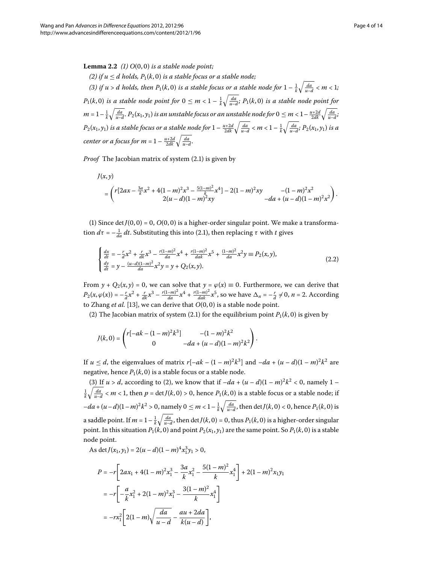<span id="page-3-0"></span>**Lemma 2.2** (1)  $O(0,0)$  *is a stable node point*;

*(2)* if  $u \le d$  holds,  $P_1(k, 0)$  is a stable focus or a stable node; (3) if  $u > d$  holds, then  $P_1(k, 0)$  is a stable focus or a stable node for  $1 - \frac{1}{k} \sqrt{\frac{da}{u-d}} < m < 1$ ;  $P_1(k,0)$  *is a stable node point for*  $0 \leq m < 1 - \frac{1}{k} \sqrt{\frac{da}{u-d}}$ ;  $P_1(k,0)$  *is a stable node point for*  $m=1-\frac{1}{k}\sqrt{\frac{da}{u-d}}.$   $P_2(x_1,y_1)$  is an unstable focus or an unstable node for  $0\leq m< 1-\frac{u+2d}{2dk}\sqrt{\frac{da}{u-d}}$  $P_2(x_1,y_1)$  is a stable focus or a stable node for  $1-\frac{u+2d}{2dk}\sqrt{\frac{da}{u-d}} < m < 1-\frac{1}{k}\sqrt{\frac{da}{u-d}};$   $P_2(x_1,y_1)$  is a *center or a focus for m* =  $1 - \frac{u+2d}{2dk} \sqrt{\frac{da}{u-d}}$ .

*Proof* The Jacobian matrix of system (2.1) is given by

$$
J(x,y)
$$
  
=  $\left(r[2ax - \frac{3a}{k}x^2 + 4(1-m)^2x^3 - \frac{5(1-m)^2}{k}x^4] - 2(1-m)^2xy - (1-m)^2x^2 - 2(u-d)(1-m)^2xy\right)$   
-da +  $(u-d)(1-m)^2x^2$ 

(1) Since det  $J(0, 0) = 0$ ,  $O(0, 0)$  is a higher-order singular point. We make a transformation  $d\tau = -\frac{1}{da} dt$ . Substituting this into (2.1), then replacing *τ* with *t* gives

$$
\begin{cases} \frac{dx}{dt} = -\frac{r}{d}x^2 + \frac{r}{dk}x^3 - \frac{r(1-m)^2}{da}x^4 + \frac{r(1-m)^2}{da}x^5 + \frac{(1-m)^2}{da}x^2y \equiv P_2(x, y),\\ \frac{dy}{dt} = y - \frac{(u-d)(1-m)^2}{da}x^2y = y + Q_2(x, y). \end{cases}
$$
(2.2)

From  $y + Q_2(x, y) = 0$ , we can solve that  $y = \varphi(x) \equiv 0$ . Furthermore, we can derive that  $P_2(x, \varphi(x)) = -\frac{r}{d}x^2 + \frac{r}{dk}x^3 - \frac{r(1-m)^2}{da}x^4 + \frac{r(1-m)^2}{dak}x^5$ , so we have  $\Delta_n = -\frac{r}{d} \neq 0$ ,  $n = 2$ . According to Zhang *et al.* [13], we can derive that  $O(0, 0)$  is a stable node point.

(2) The Jacobian matrix of system (2[.](#page-2-0)1) for the equilibrium point  $P_1(k, 0)$  is given by

$$
J(k,0) = \begin{pmatrix} r[-ak - (1-m)^2k^3] & -(1-m)^2k^2 \\ 0 & -da + (u-d)(1-m)^2k^2 \end{pmatrix}.
$$

If  $u \le d$ , the eigenvalues of matrix  $r[-ak - (1 - m)^2k^3]$  and  $-da + (u - d)(1 - m)^2k^2$  are negative, hence  $P_1(k, 0)$  is a stable focus or a stable node.

(3) If  $u > d$ , according to (2), we know that if  $-da + (u - d)(1 - m)^2 k^2 < 0$ , namely 1 –  $\frac{1}{k}\sqrt{\frac{da}{u-d}} < m < 1$ , then  $p = \det J(k,0) > 0$ , hence  $P_1(k,0)$  is a stable focus or a stable node; if  $-da + (u-d)(1-m)^2k^2 > 0$ , namely  $0 \le m < 1 - \frac{1}{k}\sqrt{\frac{da}{u-d}}$ , then det  $J(k,0) < 0$ , hence  $P_1(k,0)$  is a saddle point. If  $m=1-\frac{1}{k}\sqrt{\frac{da}{u-d}}$ , then  $\det J(k,0)=0$ , thus  $P_1(k,0)$  is a higher-order singular point. In this situation  $P_1(k, 0)$  and point  $P_2(x_1, y_1)$  are the same point. So  $P_1(k, 0)$  is a stable node point.

As det  $J(x_1, y_1) = 2(u - d)(1 - m)^4 x_1^3 y_1 > 0$ ,

$$
P = -r \left[ 2ax_1 + 4(1 - m)^2 x_1^3 - \frac{3a}{k} x_1^2 - \frac{5(1 - m)^2}{k} x_1^4 \right] + 2(1 - m)^2 x_1 y_1
$$
  
= 
$$
-r \left[ -\frac{a}{k} x_1^2 + 2(1 - m)^2 x_1^3 - \frac{3(1 - m)^2}{k} x_1^4 \right]
$$
  
= 
$$
-rx_1^2 \left[ 2(1 - m) \sqrt{\frac{da}{u - d}} - \frac{au + 2da}{k(u - d)} \right],
$$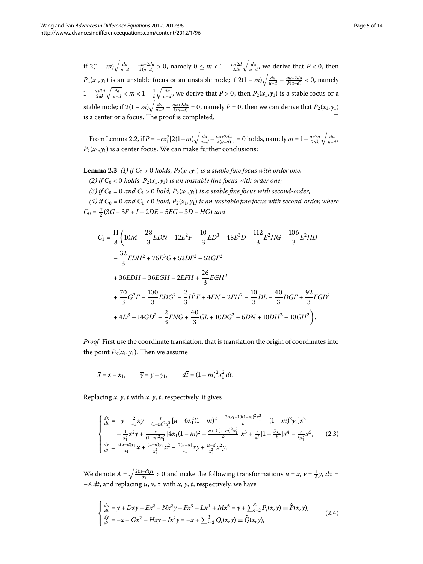if  $2(1-m)\sqrt{\frac{da}{u-d}} - \frac{au+2da}{k(u-d)} > 0$ , namely  $0 \le m < 1 - \frac{u+2d}{2dk} \sqrt{\frac{da}{u-d}}$ , we derive that  $P < 0$ , then  $P_2(x_1, y_1)$  is an unstable focus or an unstable node; if  $2(1-m)\sqrt{\frac{da}{u-d}} - \frac{au+2da}{k(u-d)} < 0$ , namely  $1 - \frac{u+2d}{2dk} \sqrt{\frac{da}{u-d}} < m < 1 - \frac{1}{k} \sqrt{\frac{da}{u-d}}$ , we derive that  $P > 0$ , then  $P_2(x_1, y_1)$  is a stable focus or a stable node; if  $2(1 - m)\sqrt{\frac{da}{u-d} - \frac{au + 2da}{k(u-d)}} = 0$ , namely  $P = 0$ , then we can derive that  $P_2(x_1, y_1)$ is a center or a focus. The proof is completed.

<span id="page-4-2"></span>From Lemma 2.2, if  $P = -rx_1^2[2(1-m)\sqrt{\frac{da}{u-d}} - \frac{au+2da}{k(u-d)}] = 0$  holds, namely  $m = 1 - \frac{u+2d}{2dk}\sqrt{\frac{da}{u-d}}$  $P_{2}(x_{1},y_{1})$  is a center focus. We can make further conclusions:

**Lemma 2.3** (1) if  $C_0 > 0$  holds,  $P_2(x_1, y_1)$  is a stable fine focus with order one;

(2) if  $C_0$  < 0 holds,  $P_2(x_1, y_1)$  *is an unstable fine focus with order one;* (3) if  $C_0 = 0$  and  $C_1 > 0$  hold,  $P_2(x_1, y_1)$  is a stable fine focus with second-order;  $(4)$  *if*  $C_0 = 0$  and  $C_1 < 0$  hold,  $P_2(x_1, y_1)$  *is an unstable fine focus with second-order, where* 

 $C_0 = \frac{\Pi}{2} (3G + 3F + I + 2DE - 5EG - 3D - HG)$  and

$$
C_1 = \frac{\Pi}{8} \left( 10M - \frac{28}{3}EDN - 12E^2F - \frac{10}{3}ED^3 - 48E^3D + \frac{112}{3}E^2HG - \frac{106}{3}E^2HD - \frac{32}{3}EDH^2 + 76E^3G + 52DE^2 - 52GE^2
$$
  
+ 36EDH - 36EGH - 2EFH +  $\frac{26}{3}EGH^2$   
+  $\frac{70}{3}G^2F - \frac{100}{3}EDG^2 - \frac{2}{3}D^2F + 4FN + 2FH^2 - \frac{10}{3}DL - \frac{40}{3}DGF + \frac{92}{3}EGD^2$   
+ 4D<sup>3</sup> - 14GD<sup>2</sup> -  $\frac{2}{3}ENG + \frac{40}{3}GL + 10DG^2 - 6DN + 10DH^2 - 10GH^2$ .

*Proof* First use the coordinate translation, that is translation the origin of coordinates into the point  $P_2(x_1, y_1)$ . Then we assume

<span id="page-4-1"></span>
$$
\overline{x} = x - x_1
$$
,  $\overline{y} = y - y_1$ ,  $d\overline{t} = (1 - m)^2 x_1^2 dt$ .

Replacing  $\overline{x}$ ,  $\overline{y}$ ,  $\overline{t}$  with *x*, *y*, *t*, respectively, it gives

<span id="page-4-0"></span>
$$
\begin{cases}\n\frac{dx}{dt} = -y - \frac{2}{x_1}xy + \frac{r}{(1-m)^2x_1^2} \left[a + 6x_1^2(1-m)^2 - \frac{3ax_1+10(1-m)^2x_1^3}{k} - (1-m)^2y_1\right]x^2 \\
-\frac{1}{x_1^2}x^2y + \frac{r}{(1-m)^2x_1^2} \left[4x_1(1-m)^2 - \frac{a+10(1-m)^2x_1^2}{k}\right]x^3 + \frac{r}{x_1^2} \left[1 - \frac{5x_1}{k}\right]x^4 - \frac{r}{kx_1^2}x^5,\n\end{cases}\n\begin{cases}\n(2.3) \\
\frac{dy}{dt} = \frac{2(u-d)y_1}{x_1}x + \frac{(u-d)y_1}{x_1^2}x^2 + \frac{2(u-d)}{x_1}xy + \frac{u-d}{x_1^2}x^2y.\n\end{cases}
$$

We denote  $A = \sqrt{\frac{2(u-d)y_1}{x_1}} > 0$  and make the following transformations  $u = x$ ,  $v = \frac{1}{A}y$ ,  $d\tau =$ –*A dt*, and replacing *u*, *v*, *τ* with *x*, *y*, *t*, respectively, we have

$$
\begin{cases}\n\frac{dx}{dt} = y + Dxy - Ex^2 + Nx^2y - Fx^3 - Lx^4 + Mx^5 = y + \sum_{j=2}^5 P_j(x, y) \equiv \hat{P}(x, y), \\
\frac{dy}{dt} = -x - Gx^2 - Hxy - Ix^2y = -x + \sum_{j=2}^3 Q_j(x, y) \equiv \hat{Q}(x, y),\n\end{cases} (2.4)
$$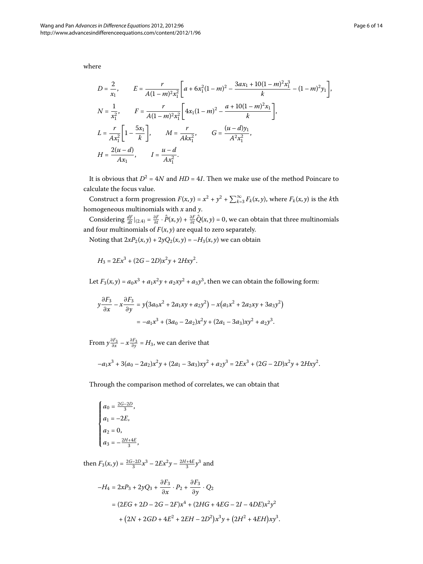where

$$
D = \frac{2}{x_1}, \qquad E = \frac{r}{A(1-m)^2 x_1^2} \left[ a + 6x_1^2 (1-m)^2 - \frac{3ax_1 + 10(1-m)^2 x_1^3}{k} - (1-m)^2 y_1 \right],
$$
  
\n
$$
N = \frac{1}{x_1^2}, \qquad F = \frac{r}{A(1-m)^2 x_1^2} \left[ 4x_1 (1-m)^2 - \frac{a + 10(1-m)^2 x_1}{k} \right],
$$
  
\n
$$
L = \frac{r}{Ax_1^2} \left[ 1 - \frac{5x_1}{k} \right], \qquad M = \frac{r}{Ax_1^2}, \qquad G = \frac{(u-d)y_1}{A^2 x_1^2},
$$
  
\n
$$
H = \frac{2(u-d)}{Ax_1}, \qquad I = \frac{u-d}{Ax_1^2}.
$$

It is obvious that  $D^2 = 4N$  and  $HD = 4I$ . Then we make use of the method Poincare to calculate the focus value.

Construct a form progression  $F(x, y) = x^2 + y^2 + \sum_{k=3}^{\infty} F_k(x, y)$ , where  $F_k(x, y)$  is the *k*th homogeneous multinomials with *x* and *y*.

Considering  $\frac{dF}{dt}|_{(2,4)} = \frac{\partial F}{\partial t} \cdot \hat{P}(x,y) + \frac{\partial F}{\partial t} \hat{Q}(x,y) = 0$ , we can obtain that three multinomials and four multinomials of  $F(x, y)$  are equal to zero separately.

Noting that  $2xP_2(x, y) + 2yQ_2(x, y) = -H_3(x, y)$  we can obtain

$$
H_3 = 2Ex^3 + (2G - 2D)x^2y + 2Hxy^2.
$$

Let  $F_3(x, y) = a_0x^3 + a_1x^2y + a_2xy^2 + a_3y^3$ , then we can obtain the following form:

$$
y\frac{\partial F_3}{\partial x} - x\frac{\partial F_3}{\partial y} = y\left(3a_0x^2 + 2a_1xy + a_2y^2\right) - x\left(a_1x^2 + 2a_2xy + 3a_3y^2\right)
$$

$$
= -a_1x^3 + (3a_0 - 2a_2)x^2y + (2a_1 - 3a_3)xy^2 + a_2y^3.
$$

From  $y \frac{\partial F_3}{\partial x} - x \frac{\partial F_3}{\partial y} = H_3$ , we can derive that

$$
-a_1x^3 + 3(a_0 - 2a_2)x^2y + (2a_1 - 3a_3)xy^2 + a_2y^3 = 2Ex^3 + (2G - 2D)x^2y + 2Hxy^2.
$$

Through the comparison method of correlates, we can obtain that

$$
\begin{cases}\n a_0 = \frac{2G-2D}{3}, \\
 a_1 = -2E, \\
 a_2 = 0, \\
 a_3 = -\frac{2H+4E}{3},\n\end{cases}
$$

then  $F_3(x, y) = \frac{2G - 2D}{3}x^3 - 2Ex^2y - \frac{2H + 4E}{3}y^3$  and

$$
-H_4 = 2xP_3 + 2yQ_3 + \frac{\partial F_3}{\partial x} \cdot P_2 + \frac{\partial F_3}{\partial y} \cdot Q_2
$$
  
=  $(2EG + 2D - 2G - 2F)x^4 + (2HG + 4EG - 2I - 4DE)x^2y^2$   
+  $(2N + 2GD + 4E^2 + 2EH - 2D^2)x^3y + (2H^2 + 4EH)xy^3$ .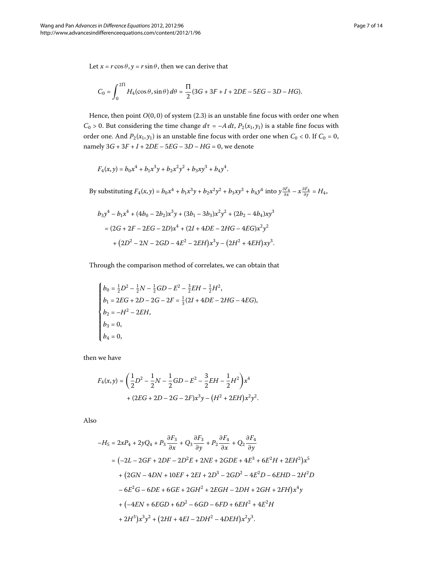Let  $x = r \cos \theta$ ,  $y = r \sin \theta$ , then we can derive that

$$
C_0 = \int_0^{2\Pi} H_4(\cos\theta, \sin\theta) \, d\theta = \frac{\Pi}{2} (3G + 3F + I + 2DE - 5EG - 3D - HG).
$$

Hence, then point  $O(0, 0)$  of system  $(2.3)$  is an unstable fine focus with order one when *C*<sub>0</sub> > 0. But considering the time change  $d\tau = -A dt$ ,  $P_2(x_1, y_1)$  is a stable fine focus with order one. And  $P_2(x_1, y_1)$  is an unstable fine focus with order one when  $C_0 < 0$ . If  $C_0 = 0$ , namely  $3G + 3F + I + 2DE - 5EG - 3D - HG = 0$ , we denote

$$
F_4(x,y) = b_0 x^4 + b_1 x^3 y + b_2 x^2 y^2 + b_3 x y^3 + b_4 y^4.
$$

By substituting  $F_4(x, y) = b_0 x^4 + b_1 x^3 y + b_2 x^2 y^2 + b_3 xy^3 + b_4 y^4$  into  $y \frac{\partial F_4}{\partial x} - x \frac{\partial F_4}{\partial y} = H_4$ ,

$$
b_3y^4 - b_1x^4 + (4b_0 - 2b_2)x^3y + (3b_1 - 3b_3)x^2y^2 + (2b_2 - 4b_4)xy^3
$$
  
=  $(2G + 2F - 2EG - 2D)x^4 + (2I + 4DE - 2HG - 4EG)x^2y^2$   
+  $(2D^2 - 2N - 2GD - 4E^2 - 2EH)x^3y - (2H^2 + 4EH)xy^3$ .

Through the comparison method of correlates, we can obtain that

$$
\begin{cases}\nb_0 = \frac{1}{2}D^2 - \frac{1}{2}N - \frac{1}{2}GD - E^2 - \frac{3}{2}EH - \frac{1}{2}H^2, \\
b_1 = 2EG + 2D - 2G - 2F = \frac{1}{3}(2I + 4DE - 2HG - 4EG), \\
b_2 = -H^2 - 2EH, \\
b_3 = 0, \\
b_4 = 0,\n\end{cases}
$$

then we have

$$
F_4(x,y) = \left(\frac{1}{2}D^2 - \frac{1}{2}N - \frac{1}{2}GD - E^2 - \frac{3}{2}EH - \frac{1}{2}H^2\right)x^4
$$
  
+ 
$$
(2EG + 2D - 2G - 2F)x^3y - (H^2 + 2EH)x^2y^2.
$$

Also

$$
-H_5 = 2xP_4 + 2yQ_4 + P_3 \frac{\partial F_3}{\partial x} + Q_3 \frac{\partial F_3}{\partial y} + P_2 \frac{\partial F_4}{\partial x} + Q_2 \frac{\partial F_4}{\partial y}
$$
  
=  $(-2L - 2GF + 2DF - 2D^2E + 2NE + 2GDE + 4E^3 + 6E^2H + 2EH^2)x^5$   
+  $(2GN - 4DN + 10EF + 2EI + 2D^3 - 2GD^2 - 4E^2D - 6EHD - 2H^2D$   
-  $6E^2G - 6DE + 6GE + 2GH^2 + 2EGH - 2DH + 2GH + 2FH)x^4y$   
+  $(-4EN + 6EGD + 6D^2 - 6GD - 6FD + 6EH^2 + 4E^2H + 2H^3)x^3y^2 + (2HI + 4EI - 2DH^2 - 4DEH)x^2y^3$ .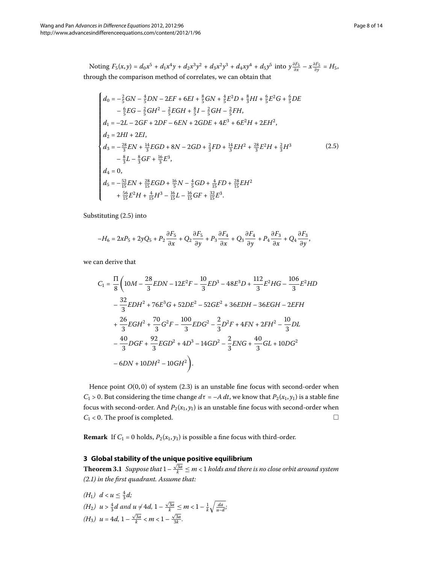Noting  $F_5(x, y) = d_0 x^5 + d_1 x^4 y + d_2 x^3 y^2 + d_3 x^2 y^3 + d_4 x y^4 + d_5 y^5$  into  $y \frac{\partial F_5}{\partial x} - x \frac{\partial F_5}{\partial y} = H_5$ , through the comparison method of correlates, we can obtain that

<span id="page-7-1"></span>
$$
d_0 = -\frac{2}{5}GN - \frac{4}{5}DN - 2EF + 6EI + \frac{8}{5}GN + \frac{4}{5}E^2D + \frac{8}{3}HI + \frac{6}{5}E^2G + \frac{6}{5}DE
$$
  
\n
$$
-\frac{6}{5}EG - \frac{2}{5}GH^2 - \frac{2}{5}EGH + \frac{8}{5}I - \frac{2}{5}GH - \frac{2}{5}FH,
$$
  
\n
$$
d_1 = -2L - 2GF + 2DF - 6EN + 2GDE + 4E^3 + 6E^2H + 2EH^2,
$$
  
\n
$$
d_2 = 2HI + 2EI,
$$
  
\n
$$
d_3 = -\frac{28}{3}EN + \frac{14}{3}EGD + 8N - 2GD + \frac{2}{3}FD + \frac{14}{3}EH^2 + \frac{28}{3}E^2H + \frac{2}{3}H^3
$$
  
\n
$$
-\frac{8}{3}L - \frac{8}{3}GF + \frac{16}{3}E^3,
$$
  
\n
$$
d_4 = 0,
$$
  
\n
$$
d_5 = -\frac{52}{15}EN + \frac{28}{15}EGD + \frac{16}{5}N - \frac{4}{5}GD + \frac{4}{15}FD + \frac{28}{15}EH^2 + \frac{28}{15}EH^2 + \frac{56}{15}E^2H + \frac{4}{15}H^3 - \frac{16}{15}L - \frac{16}{15}GF + \frac{32}{15}E^3.
$$
  
\n(2.5)

Substituting  $(2.5)$  into

$$
-H_6=2xP_5+2yQ_5+P_2\frac{\partial F_5}{\partial x}+Q_2\frac{\partial F_5}{\partial y}+P_3\frac{\partial F_4}{\partial x}+Q_3\frac{\partial F_4}{\partial y}+P_4\frac{\partial F_3}{\partial x}+Q_4\frac{\partial F_3}{\partial y},
$$

we can derive that

$$
C_1 = \frac{\Pi}{8} \left( 10M - \frac{28}{3}EDN - 12E^2F - \frac{10}{3}ED^3 - 48E^3D + \frac{112}{3}E^2HG - \frac{106}{3}E^2HD - \frac{32}{3}EDH^2 + 76E^3G + 52DE^2 - 52GE^2 + 36EDH - 36EGH - 2EFH + \frac{26}{3}EGH^2 + \frac{70}{3}G^2F - \frac{100}{3}EDG^2 - \frac{2}{3}D^2F + 4FN + 2FH^2 - \frac{10}{3}DL - \frac{40}{3}DGF + \frac{92}{3}EGD^2 + 4D^3 - 14GD^2 - \frac{2}{3}ENG + \frac{40}{3}GL + 10DG^2 - 6DN + 10DH^2 - 10GH^2 \right).
$$

<span id="page-7-2"></span><span id="page-7-0"></span>Hence point  $O(0, 0)$  of system  $(2.3)$  is an unstable fine focus with second-order when *C*<sub>1</sub> > 0. But considering the time change  $d\tau = -A dt$ , we know that  $P_2(x_1, y_1)$  is a stable fine focus with second-order. And  $P_2(x_1, y_1)$  is an unstable fine focus with second-order when  $C_1$  < 0. The proof is completed.  $\Box$ 

**Remark** If  $C_1 = 0$  holds,  $P_2(x_1, y_1)$  is possible a fine focus with third-order.

### **3 Global stability of the unique positive equilibrium**

**Theorem 3.1** Suppose that  $1 - \frac{\sqrt{3a}}{k} \le m < 1$  holds and there is no close orbit around system *([.\)](#page-2-0) in the first quadrant. Assume that:*

(H<sub>1</sub>) 
$$
d < u \le \frac{4}{3}d
$$
;  
\n(H<sub>2</sub>)  $u > \frac{4}{3}d$  and  $u \ne 4d$ ,  $1 - \frac{\sqrt{3a}}{k} \le m < 1 - \frac{1}{k}\sqrt{\frac{da}{u-d}}$ ;  
\n(H<sub>3</sub>)  $u = 4d$ ,  $1 - \frac{\sqrt{3a}}{k} < m < 1 - \frac{\sqrt{3a}}{3k}$ .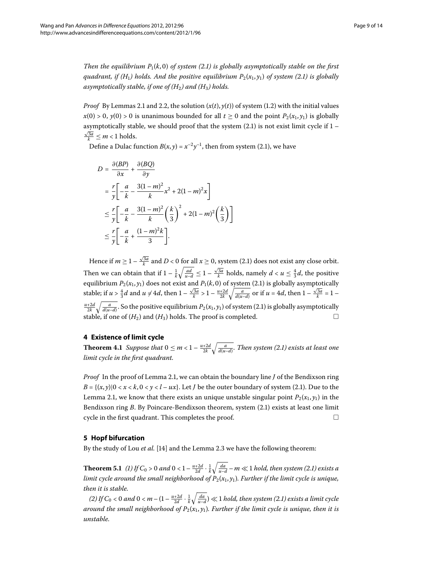*Then the equilibrium P*<sub>1</sub> $(k, 0)$  *of system (2[.](#page-2-0)1) is globally asymptotically stable on the first quadrant, if (H<sub>1</sub>) holds[.](#page-2-0) And the positive equilibrium*  $P_2(x_1, y_1)$  *of system (2.1) is globally asymptotically stable, if one of (H) and (H) holds.*

*Proof* By Lemmas 2[.](#page-0-1)1 and 2.2, the solution  $(x(t), y(t))$  of system (1.2) with the initial values  $x(0) > 0$ ,  $y(0) > 0$  is unanimous bounded for all  $t \ge 0$  and the point  $P_2(x_1, y_1)$  is globally asymptotically stable, we should proof that the system  $(2.1)$  is not exist limit cycle if  $1$  - $\frac{\sqrt{3a}}{k} \leq m < 1$  holds.

Define a Dulac function  $B(x, y) = x^{-2}y^{-1}$ , then from system (2.1), we have

$$
D = \frac{\partial (BP)}{\partial x} + \frac{\partial (BQ)}{\partial y}
$$
  
=  $\frac{r}{y} \left[ -\frac{a}{k} - \frac{3(1-m)^2}{k} x^2 + 2(1-m)^2 x \right]$   
 $\leq \frac{r}{y} \left[ -\frac{a}{k} - \frac{3(1-m)^2}{k} \left( \frac{k}{3} \right)^2 + 2(1-m)^2 \left( \frac{k}{3} \right) \right]$   
 $\leq \frac{r}{y} \left[ -\frac{a}{k} + \frac{(1-m)^2 k}{3} \right].$ 

<span id="page-8-0"></span>Hence if  $m \geq 1 - \frac{\sqrt{3a}}{k}$  and  $D < 0$  for all  $x \geq 0$ , system (2.1) does not exist any close orbit. Then we can obtain that if  $1 - \frac{1}{k} \sqrt{\frac{ad}{u-d}} \leq 1 - \frac{\sqrt{3a}}{k}$  holds, namely  $d < u \leq \frac{4}{3}d$ , the positive equilibrium  $P_2(x_1, y_1)$  does not exist and  $P_1(k, 0)$  of system (2.1) is globally asymptotically stable; if  $u > \frac{4}{3}d$  and  $u \neq 4d$ , then  $1 - \frac{\sqrt{3a}}{k} > 1 - \frac{u+2d}{2k} \sqrt{\frac{a}{d(u-d)}}$  or if  $u = 4d$ , then  $1 - \frac{\sqrt{3a}}{k} = 1 - \frac{1}{2d}$  $\frac{u+2d}{2k}\sqrt{\frac{a}{d(u-d)}}.$  So the positive equilibrium  $P_2(x_1,y_1)$  of system (2.1) is globally asymptotically stable, if one of  $(H_2)$  and  $(H_3)$  holds. The proof is completed.

# **4 Existence of limit cycle**

**Theorem 4.1** Suppose that  $0 \le m < 1 - \frac{u+2d}{2k} \sqrt{\frac{a}{d(u-d)}}$ . Then system (2.1) exists at least one *limit cycle in the first quadrant.*

<span id="page-8-2"></span><span id="page-8-1"></span>*Proof* In the proof of Lemma 2[.](#page-2-1)1, we can obtain the boundary line *J* of the Bendixson ring  $B = \{(x, y) | 0 < x < k, 0 < y < l - ux\}$ . Let *J* be the outer boundary of system (2.1). Due to the Lemma 2.1, we know that there exists an unique unstable singular point  $P_2(x_1, y_1)$  in the Bendixson ring *B*[.](#page-2-1) By Poincare-Bendixson theorem, system (2.1) exists at least one limit cycle in the first quadrant. This completes the proof.  $\Box$ 

### **5 Hopf bifurcation**

By the study of Lou et al. [14[\]](#page-13-3) and the Lemma 2[.](#page-4-2)3 we have the following theorem:

**Theorem 5.1** (1) If  $C_0 > 0$  and  $0 < 1 - \frac{u+2d}{2d} \cdot \frac{1}{k} \sqrt{\frac{da}{u-d}} - m \ll 1$  hold, then system (2.1) exists a *limit cycle around the small neighborhood of*  $P_2(x_1, y_1)$ *. Further if the limit cycle is unique, then it is stable.*

(2) If  $C_0 < 0$  and  $0 < m - (1 - \frac{u+2d}{2d} \cdot \frac{1}{k} \sqrt{\frac{da}{u-d}}) \ll 1$  hold, then system (2.1) exists a limit cycle *around the small neighborhood of*  $P_2(x_1, y_1)$ *. Further if the limit cycle is unique, then it is unstable.*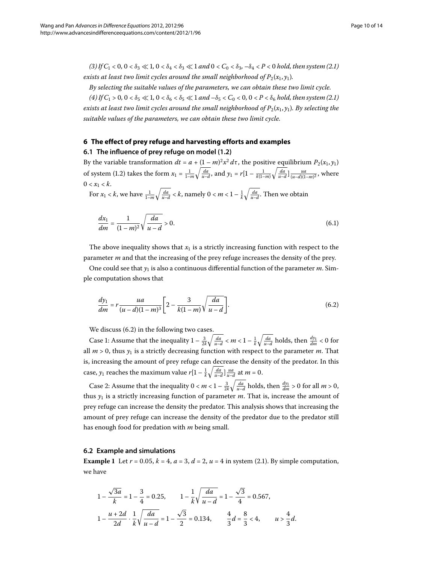<span id="page-9-0"></span> $(3)$  If  $C_1 < 0$ ,  $0 < \delta_3 \ll 1$ ,  $0 < \delta_4 < \delta_3 \ll 1$  and  $0 < C_0 < \delta_3$ ,  $-\delta_4 < P < 0$  hold, then system (2[.](#page-2-0)1) *exists at least two limit cycles around the small neighborhood of*  $P_2(x_1, y_1)$ *.* 

*By selecting the suitable values of the parameters, we can obtain these two limit cycle.*

 $(4)$  If  $C_1 > 0$ ,  $0 < \delta_5 \ll 1$ ,  $0 < \delta_6 < \delta_5 \ll 1$  and  $-\delta_5 < C_0 < 0$ ,  $0 < P < \delta_6$  hold, then system (2[.](#page-2-0)1) *exists at least two limit cycles around the small neighborhood of*  $P_2(x_1, y_1)$ *. By selecting the suitable values of the parameters, we can obtain these two limit cycle.*

# **6 The effect of prey refuge and harvesting efforts and examples**

**6.1 The influence of prey refuge on model ([1.2](#page-0-1))**

By the variable transformation  $dt = a + (1 - m)^2 x^2 d\tau$ , the positive equilibrium  $P_2(x_1, y_1)$ of system (1.2) takes the form  $x_1 = \frac{1}{1-m} \sqrt{\frac{da}{u-d}}$ , and  $y_1 = r[1 - \frac{1}{k(1-m)} \sqrt{\frac{da}{u-d}}] \frac{ua}{(u-d)(1-m)^2}$ , where  $0 < x_1 < k$ .

For  $x_1 < k$ , we have  $\frac{1}{1-m}\sqrt{\frac{da}{u-d}} < k$ , namely  $0 < m < 1 - \frac{1}{k}\sqrt{\frac{da}{u-d}}$ . Then we obtain

<span id="page-9-1"></span>
$$
\frac{dx_1}{dm} = \frac{1}{(1-m)^2} \sqrt{\frac{da}{u-d}} > 0.
$$
\n(6.1)

The above inequality shows that  $x_1$  is a strictly increasing function with respect to the parameter *m* and that the increasing of the prey refuge increases the density of the prey.

One could see that  $y_1$  is also a continuous differential function of the parameter  $m$ . Simple computation shows that

$$
\frac{dy_1}{dm} = r \frac{ua}{(u-d)(1-m)^3} \bigg[ 2 - \frac{3}{k(1-m)} \sqrt{\frac{da}{u-d}} \bigg].
$$
\n(6.2)

We discuss (6.2) in the following two cases.

Case 1: Assume that the inequality  $1 - \frac{3}{2k} \sqrt{\frac{da}{u-d}} < m < 1 - \frac{1}{k} \sqrt{\frac{da}{u-d}}$  holds, then  $\frac{dy_1}{dm} < 0$  for all  $m > 0$ , thus  $y_1$  is a strictly decreasing function with respect to the parameter *m*. That is, increasing the amount of prey refuge can decrease the density of the predator. In this case,  $y_1$  reaches the maximum value  $r[1 - \frac{1}{k} \sqrt{\frac{da}{u-d}}] \frac{ua}{u-d}$  at  $m = 0$ .

Case 2: Assume that the inequality  $0 < m < 1 - \frac{3}{2k} \sqrt{\frac{da}{u-d}}$  holds, then  $\frac{dy_1}{dm} > 0$  for all  $m > 0$ , thus  $y_1$  is a strictly increasing function of parameter  $m$ . That is, increase the amount of prey refuge can increase the density the predator. This analysis shows that increasing the amount of prey refuge can increase the density of the predator due to the predator still has enough food for predation with *m* being small.

### **6.2 Example and simulations**

**Example 1** Let  $r = 0.05$  $r = 0.05$  $r = 0.05$ ,  $k = 4$ ,  $a = 3$ ,  $d = 2$ ,  $u = 4$  in system (2.1). By simple computation, we have

$$
1 - \frac{\sqrt{3a}}{k} = 1 - \frac{3}{4} = 0.25, \qquad 1 - \frac{1}{k} \sqrt{\frac{da}{u - d}} = 1 - \frac{\sqrt{3}}{4} = 0.567,
$$
  

$$
1 - \frac{u + 2d}{2d} \cdot \frac{1}{k} \sqrt{\frac{da}{u - d}} = 1 - \frac{\sqrt{3}}{2} = 0.134, \qquad \frac{4}{3}d = \frac{8}{3} < 4, \qquad u > \frac{4}{3}d.
$$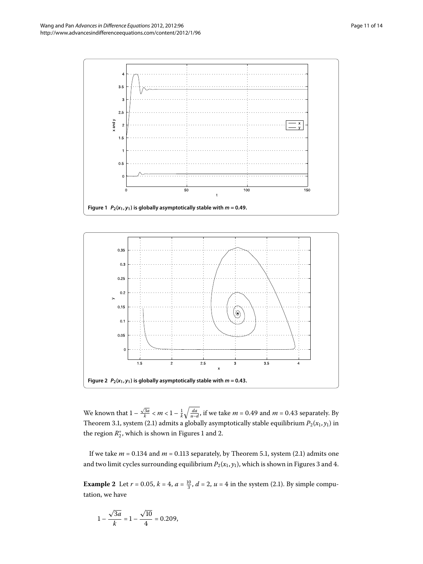

<span id="page-10-1"></span><span id="page-10-0"></span>

We known that  $1 - \frac{\sqrt{3a}}{k} < m < 1 - \frac{1}{k} \sqrt{\frac{da}{u-d}}$ , if we take  $m = 0.49$  and  $m = 0.43$  separately. By Theorem 3[.](#page-2-0)1, system (2.1) admits a globally asymptotically stable equilibrium  $P_2(x_1, y_1)$  in the region  $R_2^*$ , which is shown in Figures 1 and 2.

If we take  $m = 0.134$  $m = 0.134$  $m = 0.134$  and  $m = 0.113$  separately, by Theorem 5.1, system (2.1) admits one and two limit cycles surrounding equilibrium  $P_2(x_1, y_1)$ , which is shown in Figures 3 and 4.

**Example 2** Let  $r = 0.05$ ,  $k = 4$ ,  $a = \frac{10}{3}$ ,  $d = 2$ ,  $u = 4$  in the system (2.1). By simple computation, we have

$$
1 - \frac{\sqrt{3a}}{k} = 1 - \frac{\sqrt{10}}{4} = 0.209,
$$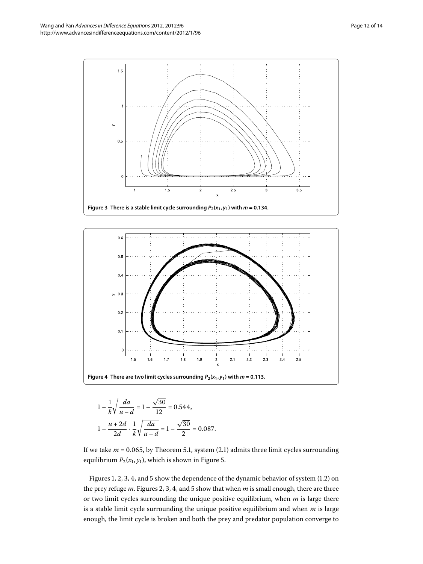

<span id="page-11-1"></span><span id="page-11-0"></span>

$$
1 - \frac{1}{k} \sqrt{\frac{da}{u - d}} = 1 - \frac{\sqrt{30}}{12} = 0.544,
$$
  

$$
1 - \frac{u + 2d}{2d} \cdot \frac{1}{k} \sqrt{\frac{da}{u - d}} = 1 - \frac{\sqrt{30}}{2} = 0.087.
$$

If we take  $m = 0.065$  $m = 0.065$  $m = 0.065$ , by Theorem 5.1, system (2.1) admits three limit cycles surrounding equilibrium  $P_2(x_1, y_1)$ , which is shown in Figure 5[.](#page-12-8)

Figures 1[,](#page-11-1) 2, 3, 4, and 5 show the dependence of the dynamic behavior of system  $(1.2)$  on the prey refuge  $m$ . Figures 2[,](#page-11-1) 3, 4, and 5 show that when  $m$  is small enough, there are three or two limit cycles surrounding the unique positive equilibrium, when *m* is large there is a stable limit cycle surrounding the unique positive equilibrium and when *m* is large enough, the limit cycle is broken and both the prey and predator population converge to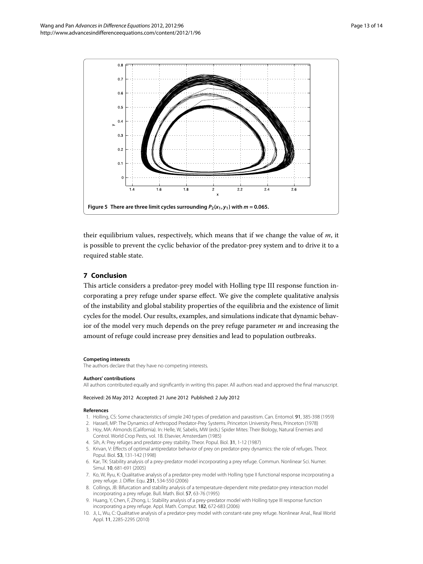<span id="page-12-8"></span>

their equilibrium values, respectively, which means that if we change the value of *m*, it is possible to prevent the cyclic behavior of the predator-prey system and to drive it to a required stable state.

### **7 Conclusion**

This article considers a predator-prey model with Holling type III response function incorporating a prey refuge under sparse effect. We give the complete qualitative analysis of the instability and global stability properties of the equilibria and the existence of limit cycles for the model. Our results, examples, and simulations indicate that dynamic behavior of the model very much depends on the prey refuge parameter *m* and increasing the amount of refuge could increase prey densities and lead to population outbreaks.

### <span id="page-12-6"></span><span id="page-12-0"></span>**Competing interests**

<span id="page-12-1"></span>The authors declare that they have no competing interests.

### <span id="page-12-2"></span>**Authors' contributions**

All authors contributed equally and significantly in writing this paper. All authors read and approved the final manuscript.

### <span id="page-12-7"></span>Received: 26 May 2012 Accepted: 21 June 2012 Published: 2 July 2012

#### **References**

- 1. Holling, CS: Some characteristics of simple 240 types of predation and parasitism. Can. Entomol. 91, 385-398 (1959)
- <span id="page-12-3"></span>2. Hassell, MP: The Dynamics of Arthropod Predator-Prey Systems. Princeton University Press, Princeton (1978)
- <span id="page-12-4"></span>3. Hoy, MA: Almonds (California). In: Helle, W, Sabelis, MW (eds.) Spider Mites: Their Biology, Natural Enemies and Control. World Crop Pests, vol. 1B. Elsevier, Amsterdam (1985)
- 4. Sih, A: Prey refuges and predator-prey stability. Theor. Popul. Biol. 31, 1-12 (1987)
- <span id="page-12-5"></span>5. Krivan, V: Effects of optimal antipredator behavior of prey on predator-prey dynamics: the role of refuges. Theor. Popul. Biol. 53, 131-142 (1998)
- 6. Kar, TK: Stability analysis of a prey-predator model incorporating a prey refuge. Commun. Nonlinear Sci. Numer. Simul. 10, 681-691 (2005)
- 7. Ko, W, Ryu, K: Qualitative analysis of a predator-prey model with Holling type II functional response incorporating a prey refuge. J. Differ. Equ. 231, 534-550 (2006)
- 8. Collings, JB: Bifurcation and stability analysis of a temperature-dependent mite predator-prey interaction model incorporating a prey refuge. Bull. Math. Biol. 57, 63-76 (1995)
- 9. Huang, Y, Chen, F, Zhong, L: Stability analysis of a prey-predator model with Holling type III response function incorporating a prey refuge. Appl. Math. Comput. 182, 672-683 (2006)
- 10. Ji, L, Wu, C: Qualitative analysis of a predator-prey model with constant-rate prey refuge. Nonlinear Anal., Real World Appl. 11, 2285-2295 (2010)